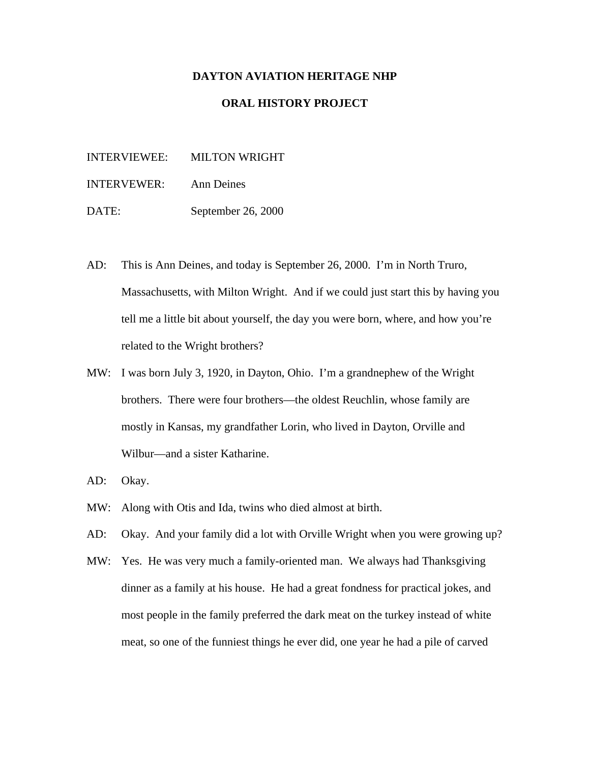### **DAYTON AVIATION HERITAGE NHP**

# **ORAL HISTORY PROJECT**

INTERVIEWEE: MILTON WRIGHT

INTERVEWER: Ann Deines

DATE: September 26, 2000

- AD: This is Ann Deines, and today is September 26, 2000. I'm in North Truro, Massachusetts, with Milton Wright. And if we could just start this by having you tell me a little bit about yourself, the day you were born, where, and how you're related to the Wright brothers?
- MW: I was born July 3, 1920, in Dayton, Ohio. I'm a grandnephew of the Wright brothers. There were four brothers—the oldest Reuchlin, whose family are mostly in Kansas, my grandfather Lorin, who lived in Dayton, Orville and Wilbur—and a sister Katharine.
- AD: Okay.
- MW: Along with Otis and Ida, twins who died almost at birth.
- AD: Okay. And your family did a lot with Orville Wright when you were growing up?
- MW: Yes. He was very much a family-oriented man. We always had Thanksgiving dinner as a family at his house. He had a great fondness for practical jokes, and most people in the family preferred the dark meat on the turkey instead of white meat, so one of the funniest things he ever did, one year he had a pile of carved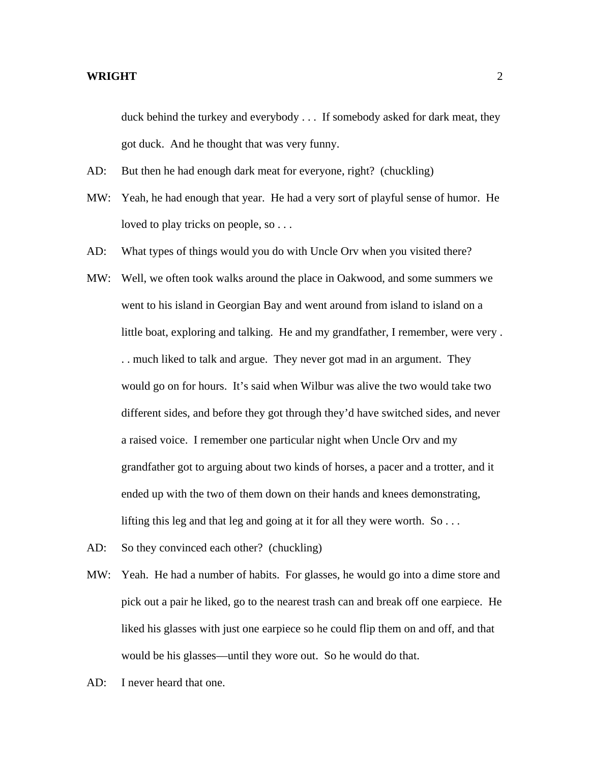duck behind the turkey and everybody . . . If somebody asked for dark meat, they got duck. And he thought that was very funny.

- AD: But then he had enough dark meat for everyone, right? (chuckling)
- MW: Yeah, he had enough that year. He had a very sort of playful sense of humor. He loved to play tricks on people, so . . .
- AD: What types of things would you do with Uncle Orv when you visited there?
- MW: Well, we often took walks around the place in Oakwood, and some summers we went to his island in Georgian Bay and went around from island to island on a little boat, exploring and talking. He and my grandfather, I remember, were very . . . much liked to talk and argue. They never got mad in an argument. They would go on for hours. It's said when Wilbur was alive the two would take two different sides, and before they got through they'd have switched sides, and never a raised voice. I remember one particular night when Uncle Orv and my grandfather got to arguing about two kinds of horses, a pacer and a trotter, and it ended up with the two of them down on their hands and knees demonstrating, lifting this leg and that leg and going at it for all they were worth. So . . .
- AD: So they convinced each other? (chuckling)
- MW: Yeah. He had a number of habits. For glasses, he would go into a dime store and pick out a pair he liked, go to the nearest trash can and break off one earpiece. He liked his glasses with just one earpiece so he could flip them on and off, and that would be his glasses—until they wore out. So he would do that.
- AD: I never heard that one.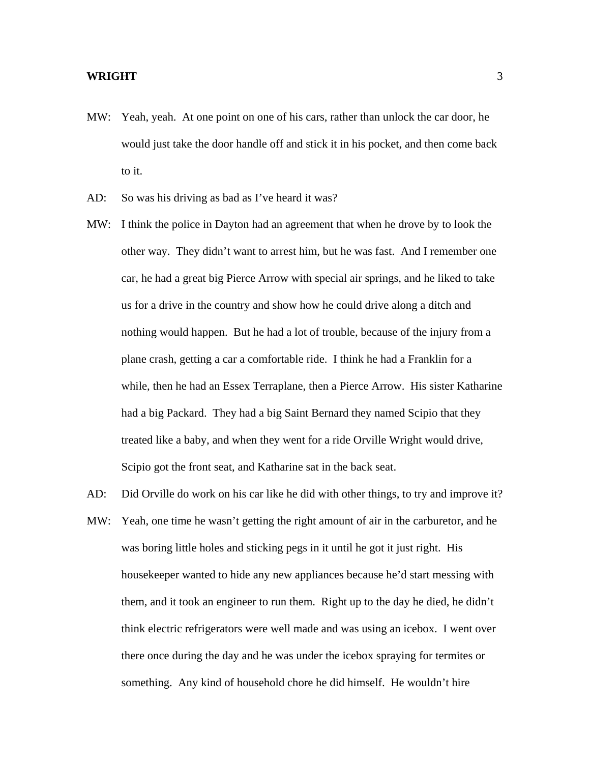- MW: Yeah, yeah. At one point on one of his cars, rather than unlock the car door, he would just take the door handle off and stick it in his pocket, and then come back to it.
- AD: So was his driving as bad as I've heard it was?
- MW: I think the police in Dayton had an agreement that when he drove by to look the other way. They didn't want to arrest him, but he was fast. And I remember one car, he had a great big Pierce Arrow with special air springs, and he liked to take us for a drive in the country and show how he could drive along a ditch and nothing would happen. But he had a lot of trouble, because of the injury from a plane crash, getting a car a comfortable ride. I think he had a Franklin for a while, then he had an Essex Terraplane, then a Pierce Arrow. His sister Katharine had a big Packard. They had a big Saint Bernard they named Scipio that they treated like a baby, and when they went for a ride Orville Wright would drive, Scipio got the front seat, and Katharine sat in the back seat.
- MW: Yeah, one time he wasn't getting the right amount of air in the carburetor, and he was boring little holes and sticking pegs in it until he got it just right. His housekeeper wanted to hide any new appliances because he'd start messing with them, and it took an engineer to run them. Right up to the day he died, he didn't think electric refrigerators were well made and was using an icebox. I went over there once during the day and he was under the icebox spraying for termites or something. Any kind of household chore he did himself. He wouldn't hire

AD: Did Orville do work on his car like he did with other things, to try and improve it?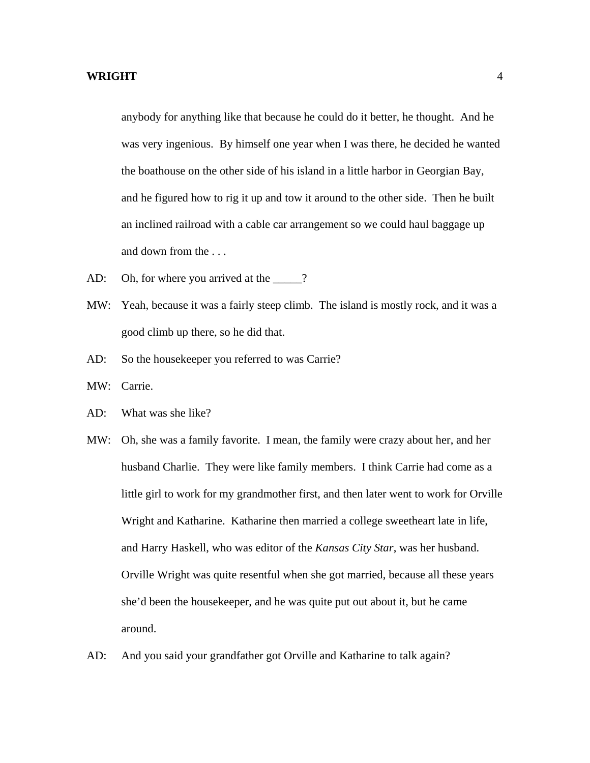anybody for anything like that because he could do it better, he thought. And he was very ingenious. By himself one year when I was there, he decided he wanted the boathouse on the other side of his island in a little harbor in Georgian Bay, and he figured how to rig it up and tow it around to the other side. Then he built an inclined railroad with a cable car arrangement so we could haul baggage up and down from the . . .

- AD: Oh, for where you arrived at the 2?
- MW: Yeah, because it was a fairly steep climb. The island is mostly rock, and it was a good climb up there, so he did that.
- AD: So the housekeeper you referred to was Carrie?
- MW: Carrie.
- AD: What was she like?
- MW: Oh, she was a family favorite. I mean, the family were crazy about her, and her husband Charlie. They were like family members. I think Carrie had come as a little girl to work for my grandmother first, and then later went to work for Orville Wright and Katharine. Katharine then married a college sweetheart late in life, and Harry Haskell, who was editor of the *Kansas City Star*, was her husband. Orville Wright was quite resentful when she got married, because all these years she'd been the housekeeper, and he was quite put out about it, but he came around.
- AD: And you said your grandfather got Orville and Katharine to talk again?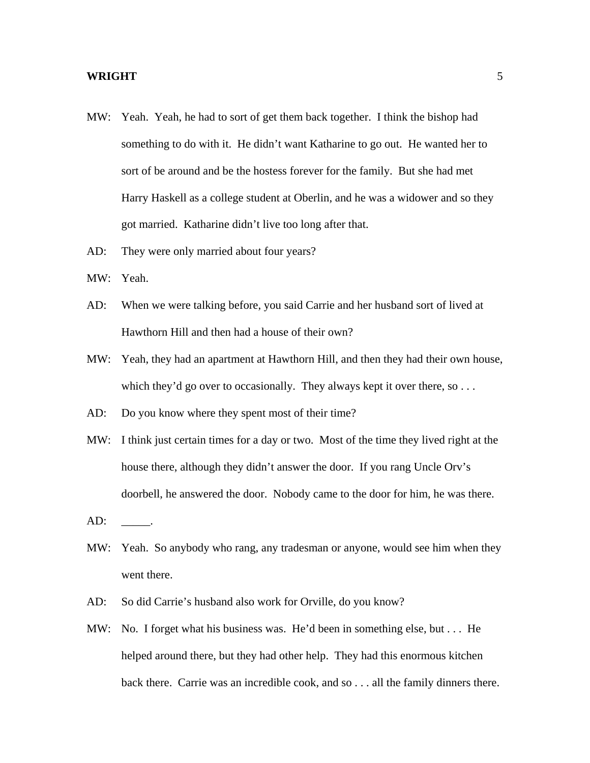- MW: Yeah. Yeah, he had to sort of get them back together. I think the bishop had something to do with it. He didn't want Katharine to go out. He wanted her to sort of be around and be the hostess forever for the family. But she had met Harry Haskell as a college student at Oberlin, and he was a widower and so they got married. Katharine didn't live too long after that.
- AD: They were only married about four years?
- MW: Yeah.
- AD: When we were talking before, you said Carrie and her husband sort of lived at Hawthorn Hill and then had a house of their own?
- MW: Yeah, they had an apartment at Hawthorn Hill, and then they had their own house, which they'd go over to occasionally. They always kept it over there, so . . .
- AD: Do you know where they spent most of their time?
- MW: I think just certain times for a day or two. Most of the time they lived right at the house there, although they didn't answer the door. If you rang Uncle Orv's doorbell, he answered the door. Nobody came to the door for him, he was there.
- $AD:$
- MW: Yeah. So anybody who rang, any tradesman or anyone, would see him when they went there.
- AD: So did Carrie's husband also work for Orville, do you know?
- MW: No. I forget what his business was. He'd been in something else, but . . . He helped around there, but they had other help. They had this enormous kitchen back there. Carrie was an incredible cook, and so . . . all the family dinners there.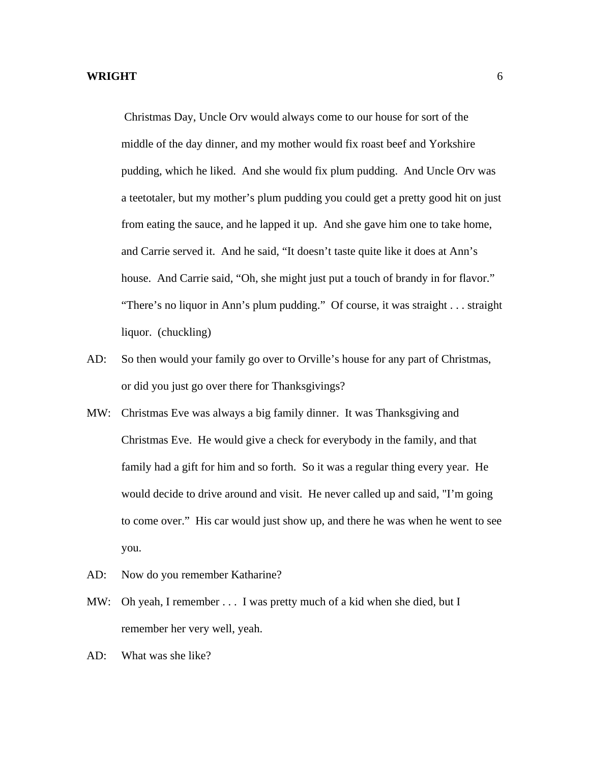Christmas Day, Uncle Orv would always come to our house for sort of the middle of the day dinner, and my mother would fix roast beef and Yorkshire pudding, which he liked. And she would fix plum pudding. And Uncle Orv was a teetotaler, but my mother's plum pudding you could get a pretty good hit on just from eating the sauce, and he lapped it up. And she gave him one to take home, and Carrie served it. And he said, "It doesn't taste quite like it does at Ann's house. And Carrie said, "Oh, she might just put a touch of brandy in for flavor." "There's no liquor in Ann's plum pudding." Of course, it was straight . . . straight liquor. (chuckling)

- AD: So then would your family go over to Orville's house for any part of Christmas, or did you just go over there for Thanksgivings?
- MW: Christmas Eve was always a big family dinner. It was Thanksgiving and Christmas Eve. He would give a check for everybody in the family, and that family had a gift for him and so forth. So it was a regular thing every year. He would decide to drive around and visit. He never called up and said, "I'm going to come over." His car would just show up, and there he was when he went to see you.
- AD: Now do you remember Katharine?
- MW: Oh yeah, I remember . . . I was pretty much of a kid when she died, but I remember her very well, yeah.
- AD: What was she like?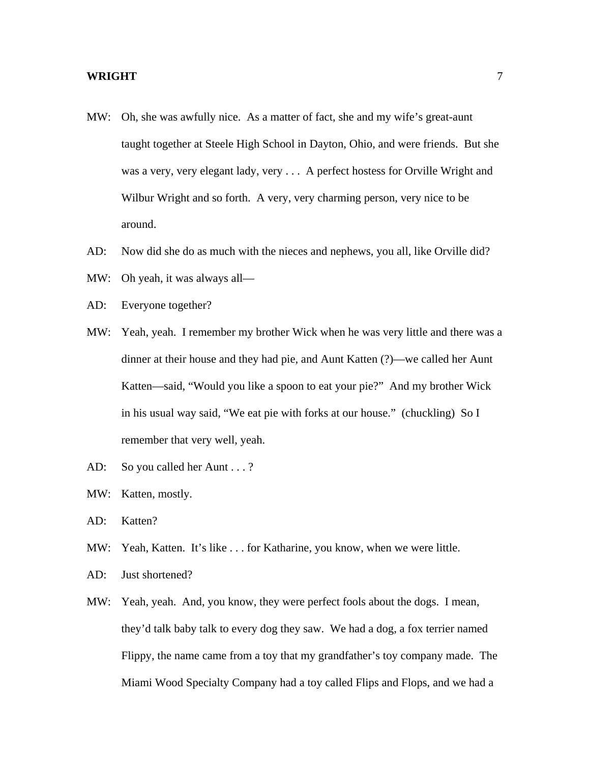- MW: Oh, she was awfully nice. As a matter of fact, she and my wife's great-aunt taught together at Steele High School in Dayton, Ohio, and were friends. But she was a very, very elegant lady, very . . . A perfect hostess for Orville Wright and Wilbur Wright and so forth. A very, very charming person, very nice to be around.
- AD: Now did she do as much with the nieces and nephews, you all, like Orville did?
- MW: Oh yeah, it was always all—
- AD: Everyone together?
- MW: Yeah, yeah. I remember my brother Wick when he was very little and there was a dinner at their house and they had pie, and Aunt Katten (?)—we called her Aunt Katten—said, "Would you like a spoon to eat your pie?" And my brother Wick in his usual way said, "We eat pie with forks at our house." (chuckling) So I remember that very well, yeah.
- AD: So you called her Aunt . . . ?
- MW: Katten, mostly.
- AD: Katten?
- MW: Yeah, Katten. It's like . . . for Katharine, you know, when we were little.
- AD: Just shortened?
- MW: Yeah, yeah. And, you know, they were perfect fools about the dogs. I mean, they'd talk baby talk to every dog they saw. We had a dog, a fox terrier named Flippy, the name came from a toy that my grandfather's toy company made. The Miami Wood Specialty Company had a toy called Flips and Flops, and we had a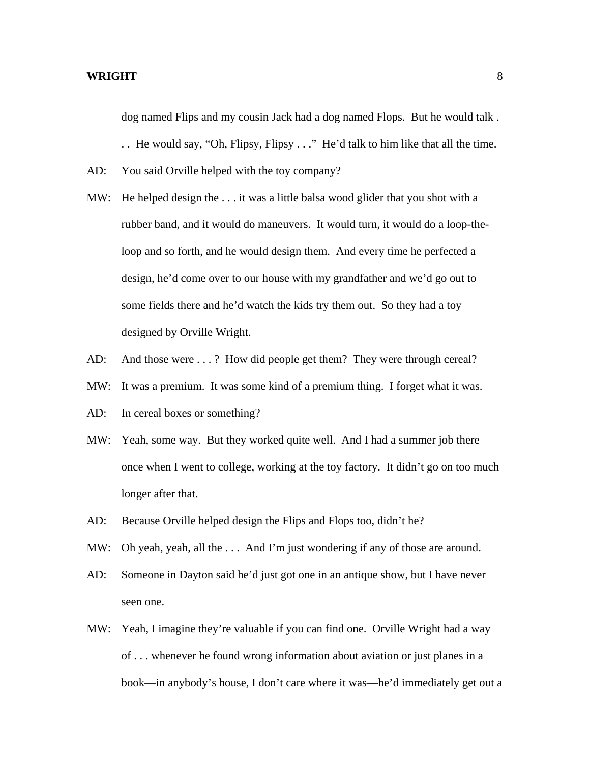dog named Flips and my cousin Jack had a dog named Flops. But he would talk .

. . He would say, "Oh, Flipsy, Flipsy . . ." He'd talk to him like that all the time.

- AD: You said Orville helped with the toy company?
- MW: He helped design the . . . it was a little balsa wood glider that you shot with a rubber band, and it would do maneuvers. It would turn, it would do a loop-theloop and so forth, and he would design them. And every time he perfected a design, he'd come over to our house with my grandfather and we'd go out to some fields there and he'd watch the kids try them out. So they had a toy designed by Orville Wright.
- AD: And those were . . . ? How did people get them? They were through cereal?
- MW: It was a premium. It was some kind of a premium thing. I forget what it was.
- AD: In cereal boxes or something?
- MW: Yeah, some way. But they worked quite well. And I had a summer job there once when I went to college, working at the toy factory. It didn't go on too much longer after that.
- AD: Because Orville helped design the Flips and Flops too, didn't he?
- MW: Oh yeah, yeah, all the ... And I'm just wondering if any of those are around.
- AD: Someone in Dayton said he'd just got one in an antique show, but I have never seen one.
- MW: Yeah, I imagine they're valuable if you can find one. Orville Wright had a way of . . . whenever he found wrong information about aviation or just planes in a book—in anybody's house, I don't care where it was—he'd immediately get out a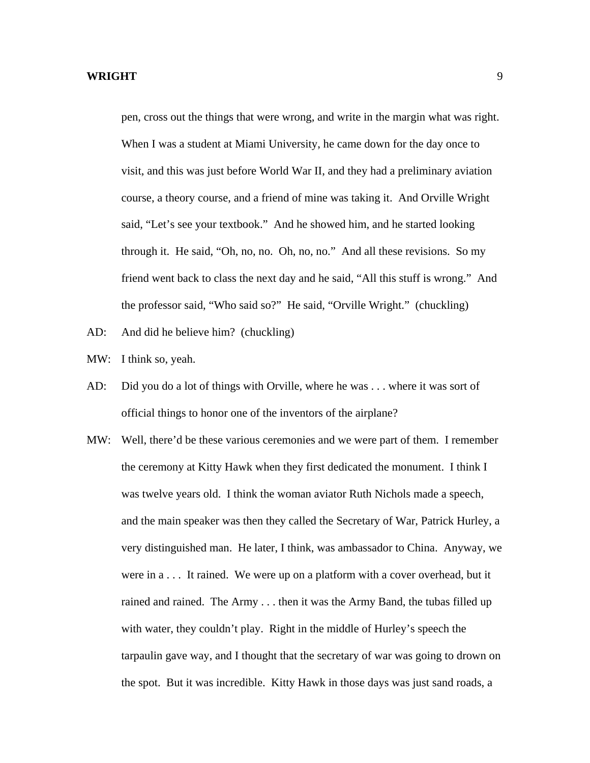pen, cross out the things that were wrong, and write in the margin what was right. When I was a student at Miami University, he came down for the day once to visit, and this was just before World War II, and they had a preliminary aviation course, a theory course, and a friend of mine was taking it. And Orville Wright said, "Let's see your textbook." And he showed him, and he started looking through it. He said, "Oh, no, no. Oh, no, no." And all these revisions. So my friend went back to class the next day and he said, "All this stuff is wrong." And the professor said, "Who said so?" He said, "Orville Wright." (chuckling)

- AD: And did he believe him? (chuckling)
- MW: I think so, yeah.
- AD: Did you do a lot of things with Orville, where he was . . . where it was sort of official things to honor one of the inventors of the airplane?
- MW: Well, there'd be these various ceremonies and we were part of them. I remember the ceremony at Kitty Hawk when they first dedicated the monument. I think I was twelve years old. I think the woman aviator Ruth Nichols made a speech, and the main speaker was then they called the Secretary of War, Patrick Hurley, a very distinguished man. He later, I think, was ambassador to China. Anyway, we were in a . . . It rained. We were up on a platform with a cover overhead, but it rained and rained. The Army . . . then it was the Army Band, the tubas filled up with water, they couldn't play. Right in the middle of Hurley's speech the tarpaulin gave way, and I thought that the secretary of war was going to drown on the spot. But it was incredible. Kitty Hawk in those days was just sand roads, a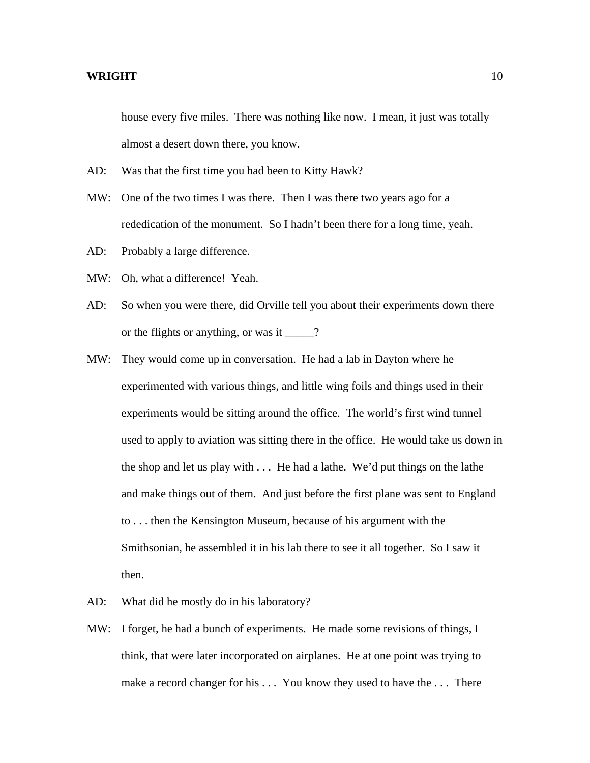house every five miles. There was nothing like now. I mean, it just was totally almost a desert down there, you know.

- AD: Was that the first time you had been to Kitty Hawk?
- MW: One of the two times I was there. Then I was there two years ago for a rededication of the monument. So I hadn't been there for a long time, yeah.
- AD: Probably a large difference.
- MW: Oh, what a difference! Yeah.
- AD: So when you were there, did Orville tell you about their experiments down there or the flights or anything, or was it \_\_\_\_\_?
- MW: They would come up in conversation. He had a lab in Dayton where he experimented with various things, and little wing foils and things used in their experiments would be sitting around the office. The world's first wind tunnel used to apply to aviation was sitting there in the office. He would take us down in the shop and let us play with . . . He had a lathe. We'd put things on the lathe and make things out of them. And just before the first plane was sent to England to . . . then the Kensington Museum, because of his argument with the Smithsonian, he assembled it in his lab there to see it all together. So I saw it then.
- AD: What did he mostly do in his laboratory?
- MW: I forget, he had a bunch of experiments. He made some revisions of things, I think, that were later incorporated on airplanes. He at one point was trying to make a record changer for his . . . You know they used to have the . . . There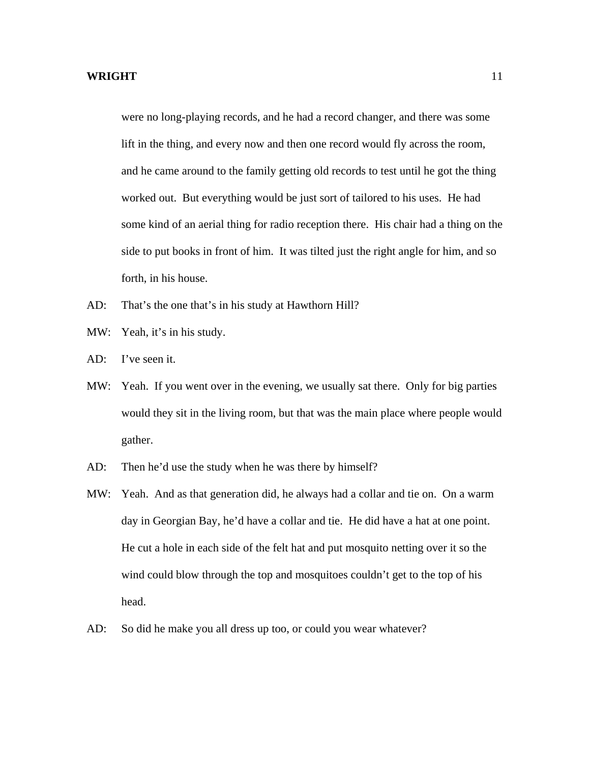were no long-playing records, and he had a record changer, and there was some lift in the thing, and every now and then one record would fly across the room, and he came around to the family getting old records to test until he got the thing worked out. But everything would be just sort of tailored to his uses. He had some kind of an aerial thing for radio reception there. His chair had a thing on the side to put books in front of him. It was tilted just the right angle for him, and so forth, in his house.

- AD: That's the one that's in his study at Hawthorn Hill?
- MW: Yeah, it's in his study.
- AD: I've seen it.
- MW: Yeah. If you went over in the evening, we usually sat there. Only for big parties would they sit in the living room, but that was the main place where people would gather.
- AD: Then he'd use the study when he was there by himself?
- MW: Yeah. And as that generation did, he always had a collar and tie on. On a warm day in Georgian Bay, he'd have a collar and tie. He did have a hat at one point. He cut a hole in each side of the felt hat and put mosquito netting over it so the wind could blow through the top and mosquitoes couldn't get to the top of his head.
- AD: So did he make you all dress up too, or could you wear whatever?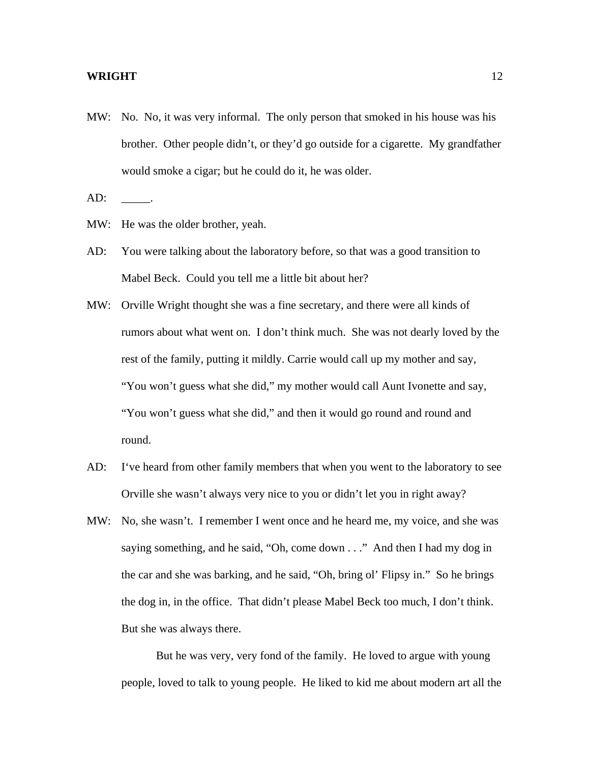- MW: No. No, it was very informal. The only person that smoked in his house was his brother. Other people didn't, or they'd go outside for a cigarette. My grandfather would smoke a cigar; but he could do it, he was older.
- $AD:$
- MW: He was the older brother, yeah.
- AD: You were talking about the laboratory before, so that was a good transition to Mabel Beck. Could you tell me a little bit about her?
- MW: Orville Wright thought she was a fine secretary, and there were all kinds of rumors about what went on. I don't think much. She was not dearly loved by the rest of the family, putting it mildly. Carrie would call up my mother and say, "You won't guess what she did," my mother would call Aunt Ivonette and say, "You won't guess what she did," and then it would go round and round and round.
- AD: I've heard from other family members that when you went to the laboratory to see Orville she wasn't always very nice to you or didn't let you in right away?
- MW: No, she wasn't. I remember I went once and he heard me, my voice, and she was saying something, and he said, "Oh, come down . . ." And then I had my dog in the car and she was barking, and he said, "Oh, bring ol' Flipsy in." So he brings the dog in, in the office. That didn't please Mabel Beck too much, I don't think. But she was always there.

 But he was very, very fond of the family. He loved to argue with young people, loved to talk to young people. He liked to kid me about modern art all the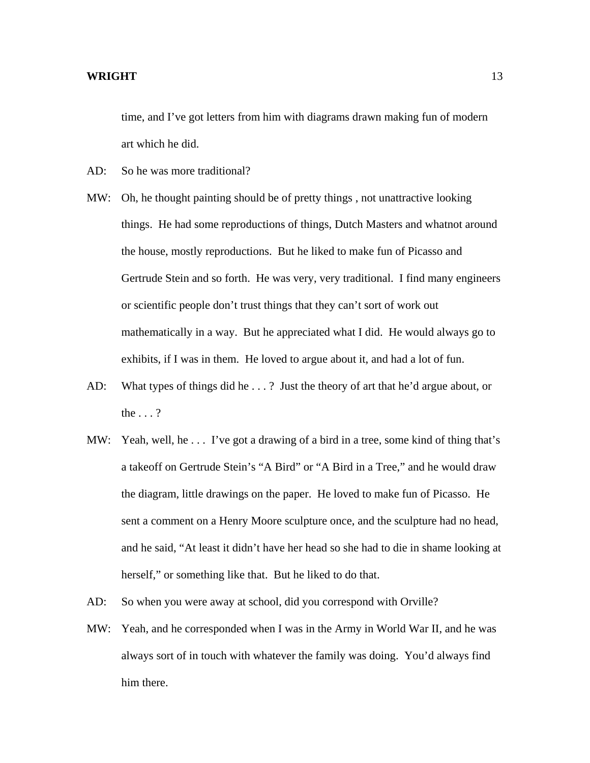time, and I've got letters from him with diagrams drawn making fun of modern art which he did.

AD: So he was more traditional?

- MW: Oh, he thought painting should be of pretty things , not unattractive looking things. He had some reproductions of things, Dutch Masters and whatnot around the house, mostly reproductions. But he liked to make fun of Picasso and Gertrude Stein and so forth. He was very, very traditional. I find many engineers or scientific people don't trust things that they can't sort of work out mathematically in a way. But he appreciated what I did. He would always go to exhibits, if I was in them. He loved to argue about it, and had a lot of fun.
- AD: What types of things did he . . . ? Just the theory of art that he'd argue about, or the . . . ?
- MW: Yeah, well, he ... I've got a drawing of a bird in a tree, some kind of thing that's a takeoff on Gertrude Stein's "A Bird" or "A Bird in a Tree," and he would draw the diagram, little drawings on the paper. He loved to make fun of Picasso. He sent a comment on a Henry Moore sculpture once, and the sculpture had no head, and he said, "At least it didn't have her head so she had to die in shame looking at herself," or something like that. But he liked to do that.
- AD: So when you were away at school, did you correspond with Orville?
- MW: Yeah, and he corresponded when I was in the Army in World War II, and he was always sort of in touch with whatever the family was doing. You'd always find him there.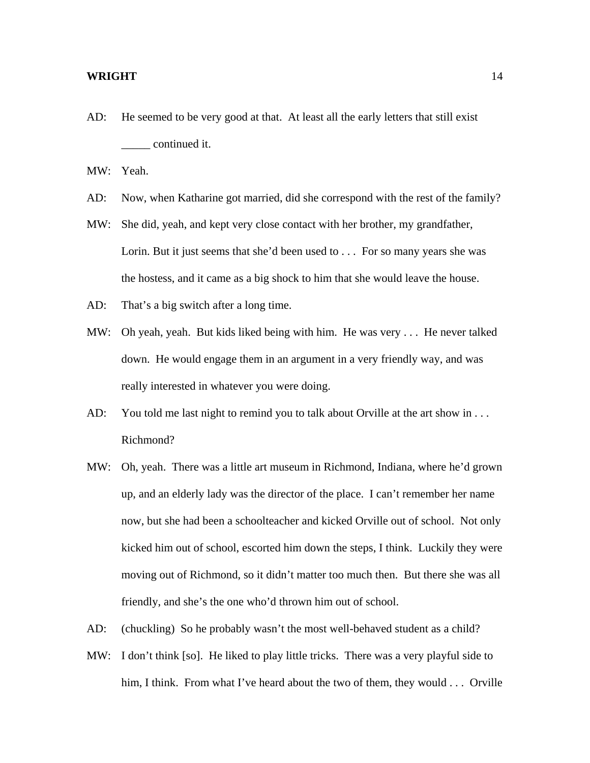AD: He seemed to be very good at that. At least all the early letters that still exist \_\_\_\_\_ continued it.

MW: Yeah.

- AD: Now, when Katharine got married, did she correspond with the rest of the family?
- MW: She did, yeah, and kept very close contact with her brother, my grandfather, Lorin. But it just seems that she'd been used to . . . For so many years she was the hostess, and it came as a big shock to him that she would leave the house.
- AD: That's a big switch after a long time.
- MW: Oh yeah, yeah. But kids liked being with him. He was very . . . He never talked down. He would engage them in an argument in a very friendly way, and was really interested in whatever you were doing.
- AD: You told me last night to remind you to talk about Orville at the art show in . . . Richmond?
- MW: Oh, yeah. There was a little art museum in Richmond, Indiana, where he'd grown up, and an elderly lady was the director of the place. I can't remember her name now, but she had been a schoolteacher and kicked Orville out of school. Not only kicked him out of school, escorted him down the steps, I think. Luckily they were moving out of Richmond, so it didn't matter too much then. But there she was all friendly, and she's the one who'd thrown him out of school.
- AD: (chuckling) So he probably wasn't the most well-behaved student as a child?
- MW: I don't think [so]. He liked to play little tricks. There was a very playful side to him, I think. From what I've heard about the two of them, they would . . . Orville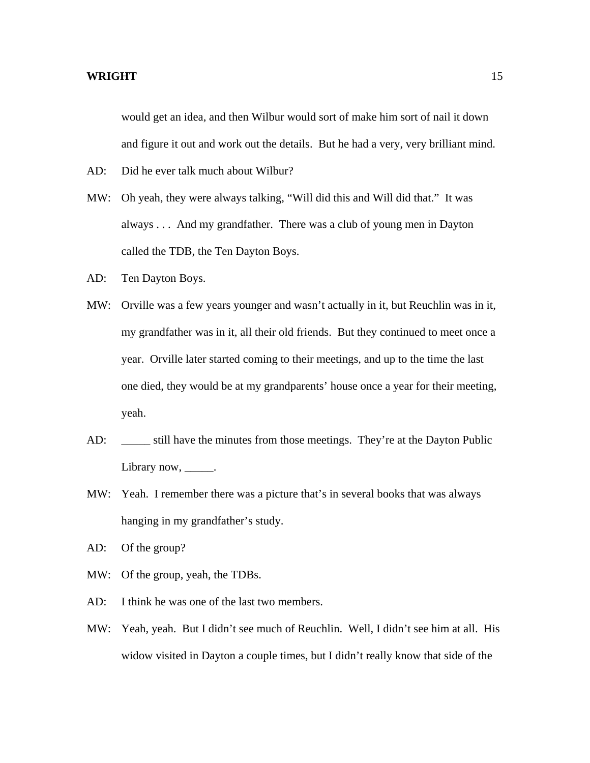would get an idea, and then Wilbur would sort of make him sort of nail it down and figure it out and work out the details. But he had a very, very brilliant mind.

- AD: Did he ever talk much about Wilbur?
- MW: Oh yeah, they were always talking, "Will did this and Will did that." It was always . . . And my grandfather. There was a club of young men in Dayton called the TDB, the Ten Dayton Boys.
- AD: Ten Dayton Boys.
- MW: Orville was a few years younger and wasn't actually in it, but Reuchlin was in it, my grandfather was in it, all their old friends. But they continued to meet once a year. Orville later started coming to their meetings, and up to the time the last one died, they would be at my grandparents' house once a year for their meeting, yeah.
- AD: \_\_\_\_\_\_ still have the minutes from those meetings. They're at the Dayton Public Library now, \_\_\_\_\_\_.
- MW: Yeah. I remember there was a picture that's in several books that was always hanging in my grandfather's study.
- AD: Of the group?
- MW: Of the group, yeah, the TDBs.
- AD: I think he was one of the last two members.
- MW: Yeah, yeah. But I didn't see much of Reuchlin. Well, I didn't see him at all. His widow visited in Dayton a couple times, but I didn't really know that side of the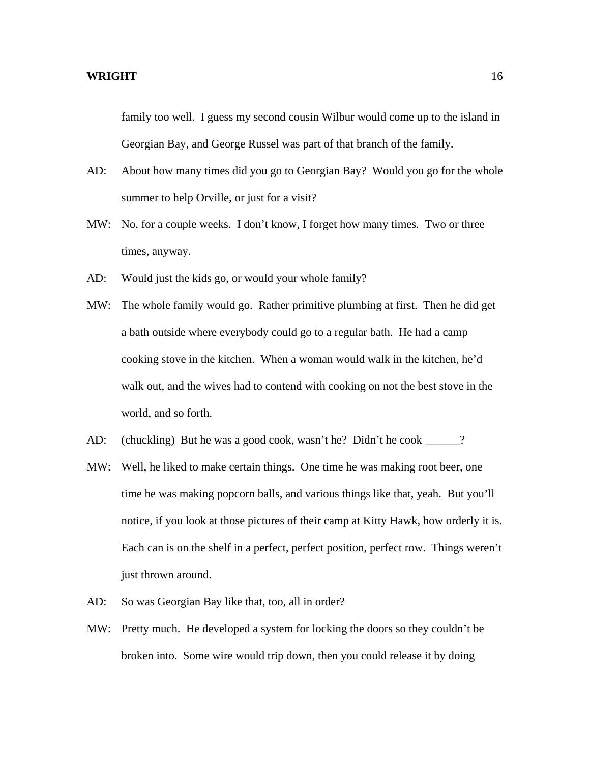family too well. I guess my second cousin Wilbur would come up to the island in Georgian Bay, and George Russel was part of that branch of the family.

- AD: About how many times did you go to Georgian Bay? Would you go for the whole summer to help Orville, or just for a visit?
- MW: No, for a couple weeks. I don't know, I forget how many times. Two or three times, anyway.
- AD: Would just the kids go, or would your whole family?
- MW: The whole family would go. Rather primitive plumbing at first. Then he did get a bath outside where everybody could go to a regular bath. He had a camp cooking stove in the kitchen. When a woman would walk in the kitchen, he'd walk out, and the wives had to contend with cooking on not the best stove in the world, and so forth.
- AD: (chuckling) But he was a good cook, wasn't he? Didn't he cook \_\_\_\_\_?
- MW: Well, he liked to make certain things. One time he was making root beer, one time he was making popcorn balls, and various things like that, yeah. But you'll notice, if you look at those pictures of their camp at Kitty Hawk, how orderly it is. Each can is on the shelf in a perfect, perfect position, perfect row. Things weren't just thrown around.
- AD: So was Georgian Bay like that, too, all in order?
- MW: Pretty much. He developed a system for locking the doors so they couldn't be broken into. Some wire would trip down, then you could release it by doing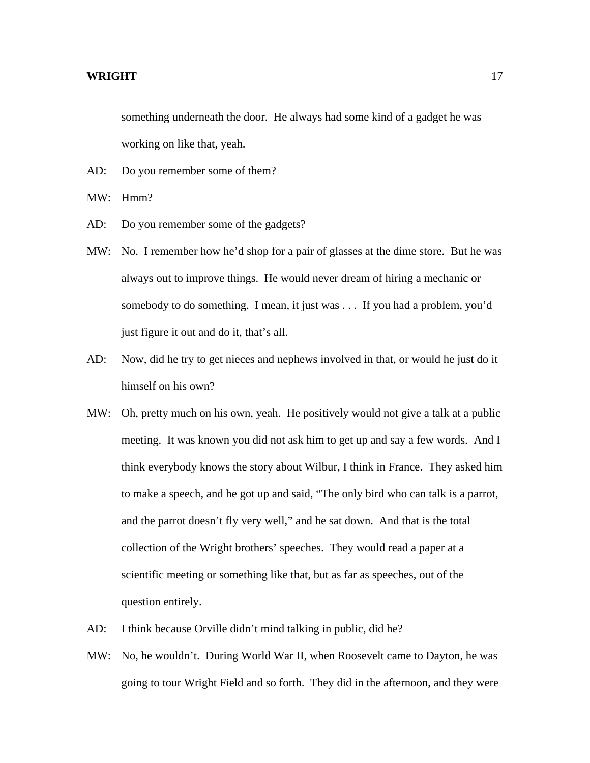something underneath the door. He always had some kind of a gadget he was working on like that, yeah.

- AD: Do you remember some of them?
- MW: Hmm?
- AD: Do you remember some of the gadgets?
- MW: No. I remember how he'd shop for a pair of glasses at the dime store. But he was always out to improve things. He would never dream of hiring a mechanic or somebody to do something. I mean, it just was . . . If you had a problem, you'd just figure it out and do it, that's all.
- AD: Now, did he try to get nieces and nephews involved in that, or would he just do it himself on his own?
- MW: Oh, pretty much on his own, yeah. He positively would not give a talk at a public meeting. It was known you did not ask him to get up and say a few words. And I think everybody knows the story about Wilbur, I think in France. They asked him to make a speech, and he got up and said, "The only bird who can talk is a parrot, and the parrot doesn't fly very well," and he sat down. And that is the total collection of the Wright brothers' speeches. They would read a paper at a scientific meeting or something like that, but as far as speeches, out of the question entirely.
- AD: I think because Orville didn't mind talking in public, did he?
- MW: No, he wouldn't. During World War II, when Roosevelt came to Dayton, he was going to tour Wright Field and so forth. They did in the afternoon, and they were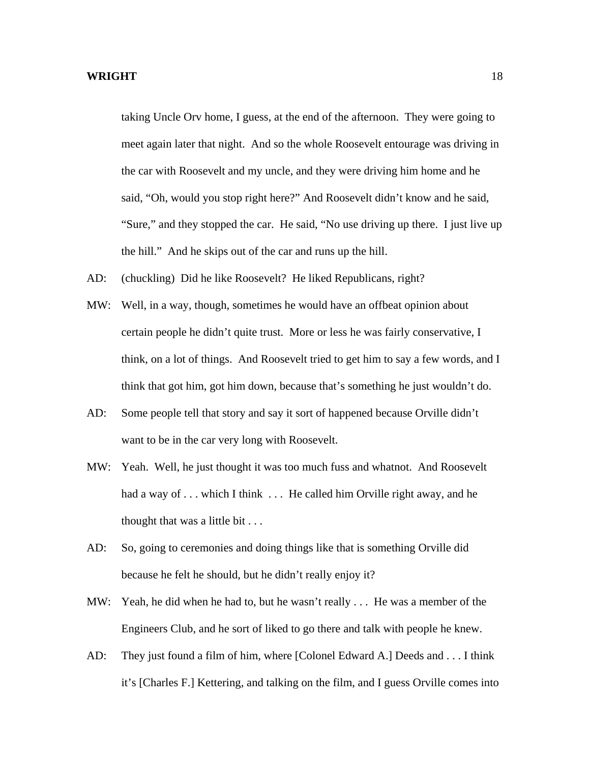taking Uncle Orv home, I guess, at the end of the afternoon. They were going to meet again later that night. And so the whole Roosevelt entourage was driving in the car with Roosevelt and my uncle, and they were driving him home and he said, "Oh, would you stop right here?" And Roosevelt didn't know and he said, "Sure," and they stopped the car. He said, "No use driving up there. I just live up the hill." And he skips out of the car and runs up the hill.

- AD: (chuckling) Did he like Roosevelt? He liked Republicans, right?
- MW: Well, in a way, though, sometimes he would have an offbeat opinion about certain people he didn't quite trust. More or less he was fairly conservative, I think, on a lot of things. And Roosevelt tried to get him to say a few words, and I think that got him, got him down, because that's something he just wouldn't do.
- AD: Some people tell that story and say it sort of happened because Orville didn't want to be in the car very long with Roosevelt.
- MW: Yeah. Well, he just thought it was too much fuss and whatnot. And Roosevelt had a way of . . . which I think . . . He called him Orville right away, and he thought that was a little bit . . .
- AD: So, going to ceremonies and doing things like that is something Orville did because he felt he should, but he didn't really enjoy it?
- MW: Yeah, he did when he had to, but he wasn't really . . . He was a member of the Engineers Club, and he sort of liked to go there and talk with people he knew.
- AD: They just found a film of him, where [Colonel Edward A.] Deeds and . . . I think it's [Charles F.] Kettering, and talking on the film, and I guess Orville comes into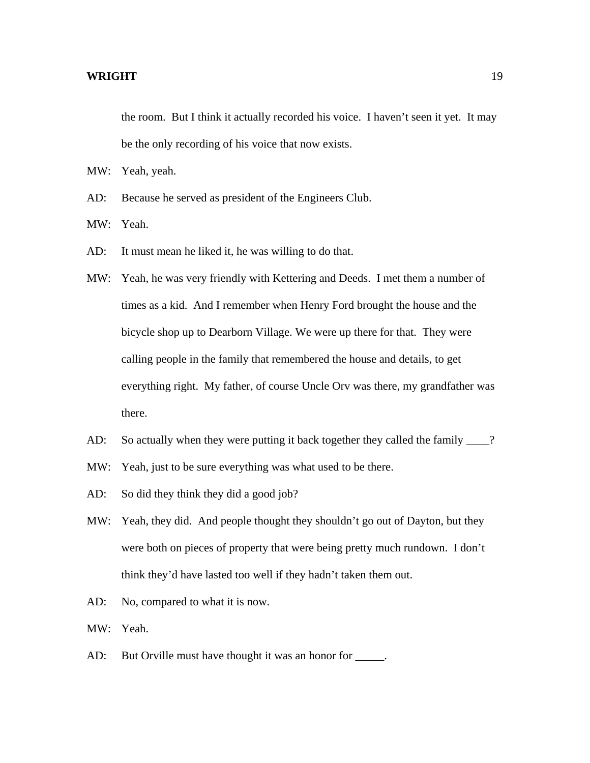the room. But I think it actually recorded his voice. I haven't seen it yet. It may be the only recording of his voice that now exists.

MW: Yeah, yeah.

- AD: Because he served as president of the Engineers Club.
- MW: Yeah.
- AD: It must mean he liked it, he was willing to do that.
- MW: Yeah, he was very friendly with Kettering and Deeds. I met them a number of times as a kid. And I remember when Henry Ford brought the house and the bicycle shop up to Dearborn Village. We were up there for that. They were calling people in the family that remembered the house and details, to get everything right. My father, of course Uncle Orv was there, my grandfather was there.
- AD: So actually when they were putting it back together they called the family \_\_\_\_?
- MW: Yeah, just to be sure everything was what used to be there.
- AD: So did they think they did a good job?
- MW: Yeah, they did. And people thought they shouldn't go out of Dayton, but they were both on pieces of property that were being pretty much rundown. I don't think they'd have lasted too well if they hadn't taken them out.
- AD: No, compared to what it is now.
- MW: Yeah.
- AD: But Orville must have thought it was an honor for \_\_\_\_\_.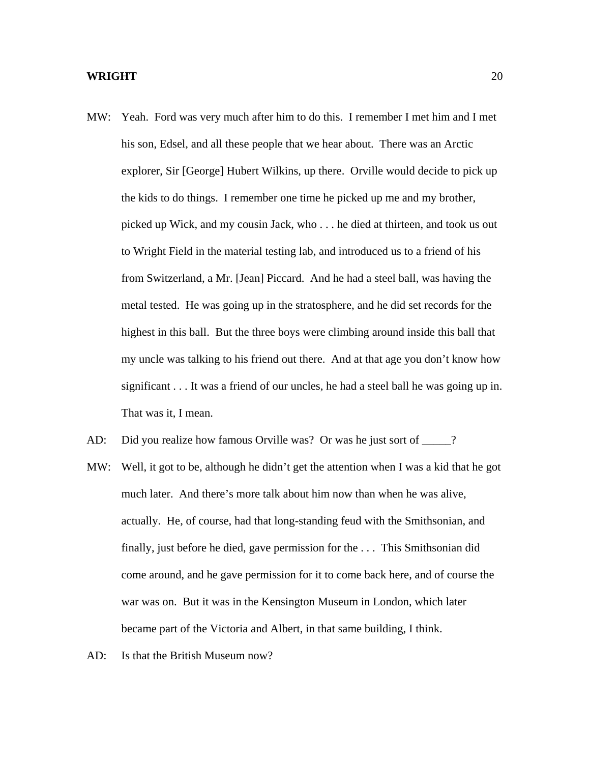- MW: Yeah. Ford was very much after him to do this. I remember I met him and I met his son, Edsel, and all these people that we hear about. There was an Arctic explorer, Sir [George] Hubert Wilkins, up there. Orville would decide to pick up the kids to do things. I remember one time he picked up me and my brother, picked up Wick, and my cousin Jack, who . . . he died at thirteen, and took us out to Wright Field in the material testing lab, and introduced us to a friend of his from Switzerland, a Mr. [Jean] Piccard. And he had a steel ball, was having the metal tested. He was going up in the stratosphere, and he did set records for the highest in this ball. But the three boys were climbing around inside this ball that my uncle was talking to his friend out there. And at that age you don't know how significant . . . It was a friend of our uncles, he had a steel ball he was going up in. That was it, I mean.
- AD: Did you realize how famous Orville was? Or was he just sort of \_\_\_\_\_?
- MW: Well, it got to be, although he didn't get the attention when I was a kid that he got much later. And there's more talk about him now than when he was alive, actually. He, of course, had that long-standing feud with the Smithsonian, and finally, just before he died, gave permission for the . . . This Smithsonian did come around, and he gave permission for it to come back here, and of course the war was on. But it was in the Kensington Museum in London, which later became part of the Victoria and Albert, in that same building, I think.
- AD: Is that the British Museum now?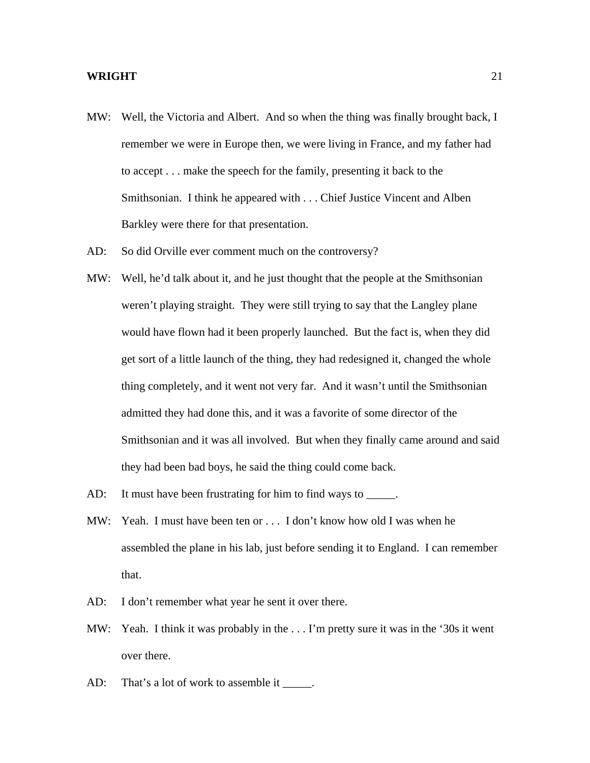- MW: Well, the Victoria and Albert. And so when the thing was finally brought back, I remember we were in Europe then, we were living in France, and my father had to accept . . . make the speech for the family, presenting it back to the Smithsonian. I think he appeared with . . . Chief Justice Vincent and Alben Barkley were there for that presentation.
- AD: So did Orville ever comment much on the controversy?
- MW: Well, he'd talk about it, and he just thought that the people at the Smithsonian weren't playing straight. They were still trying to say that the Langley plane would have flown had it been properly launched. But the fact is, when they did get sort of a little launch of the thing, they had redesigned it, changed the whole thing completely, and it went not very far. And it wasn't until the Smithsonian admitted they had done this, and it was a favorite of some director of the Smithsonian and it was all involved. But when they finally came around and said they had been bad boys, he said the thing could come back.
- AD: It must have been frustrating for him to find ways to \_\_\_\_\_.
- MW: Yeah. I must have been ten or . . . I don't know how old I was when he assembled the plane in his lab, just before sending it to England. I can remember that.
- AD: I don't remember what year he sent it over there.
- MW: Yeah. I think it was probably in the . . . I'm pretty sure it was in the '30s it went over there.
- AD: That's a lot of work to assemble it \_\_\_\_\_.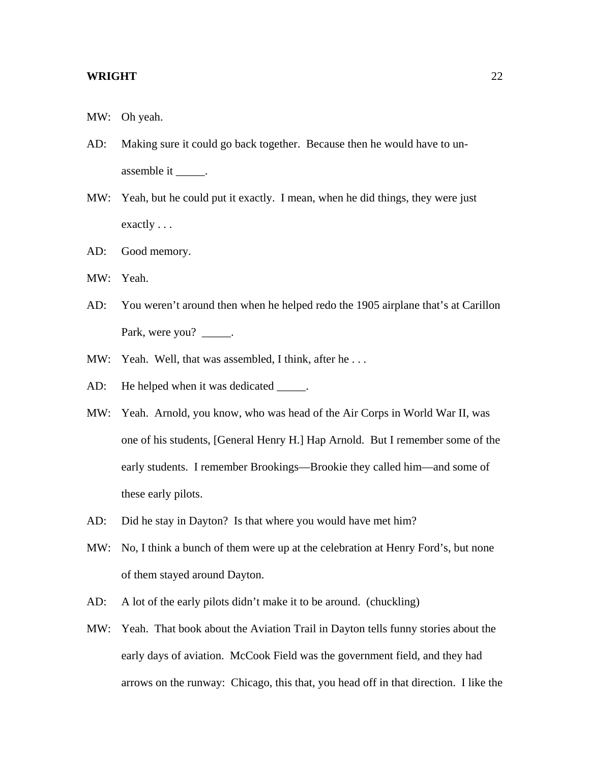- MW: Oh yeah.
- AD: Making sure it could go back together. Because then he would have to unassemble it \_\_\_\_\_\_.
- MW: Yeah, but he could put it exactly. I mean, when he did things, they were just exactly . . .
- AD: Good memory.
- MW: Yeah.
- AD: You weren't around then when he helped redo the 1905 airplane that's at Carillon Park, were you? \_\_\_\_\_.
- MW: Yeah. Well, that was assembled, I think, after he...
- AD: He helped when it was dedicated \_\_\_\_\_.
- MW: Yeah. Arnold, you know, who was head of the Air Corps in World War II, was one of his students, [General Henry H.] Hap Arnold. But I remember some of the early students. I remember Brookings—Brookie they called him—and some of these early pilots.
- AD: Did he stay in Dayton? Is that where you would have met him?
- MW: No, I think a bunch of them were up at the celebration at Henry Ford's, but none of them stayed around Dayton.
- AD: A lot of the early pilots didn't make it to be around. (chuckling)
- MW: Yeah. That book about the Aviation Trail in Dayton tells funny stories about the early days of aviation. McCook Field was the government field, and they had arrows on the runway: Chicago, this that, you head off in that direction. I like the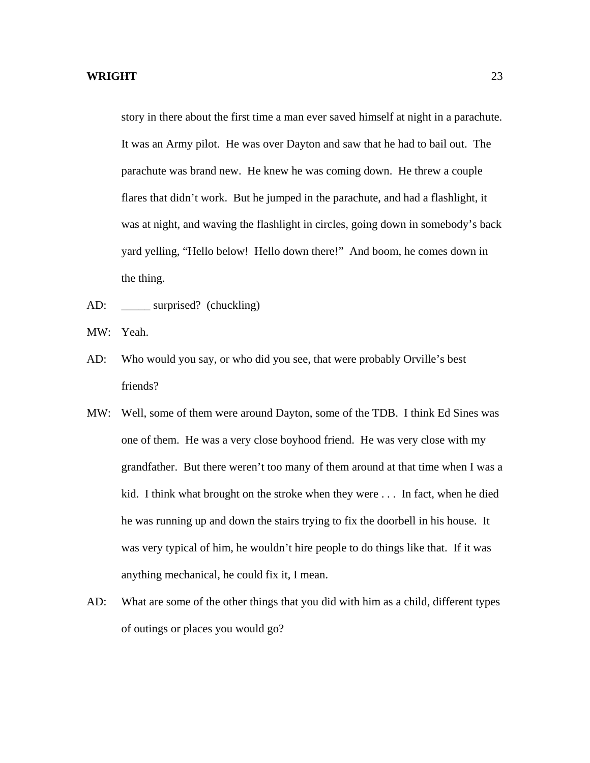story in there about the first time a man ever saved himself at night in a parachute. It was an Army pilot. He was over Dayton and saw that he had to bail out. The parachute was brand new. He knew he was coming down. He threw a couple flares that didn't work. But he jumped in the parachute, and had a flashlight, it was at night, and waving the flashlight in circles, going down in somebody's back yard yelling, "Hello below! Hello down there!" And boom, he comes down in the thing.

- AD: \_\_\_\_\_ surprised? (chuckling)
- MW: Yeah.
- AD: Who would you say, or who did you see, that were probably Orville's best friends?
- MW: Well, some of them were around Dayton, some of the TDB. I think Ed Sines was one of them. He was a very close boyhood friend. He was very close with my grandfather. But there weren't too many of them around at that time when I was a kid. I think what brought on the stroke when they were . . . In fact, when he died he was running up and down the stairs trying to fix the doorbell in his house. It was very typical of him, he wouldn't hire people to do things like that. If it was anything mechanical, he could fix it, I mean.
- AD: What are some of the other things that you did with him as a child, different types of outings or places you would go?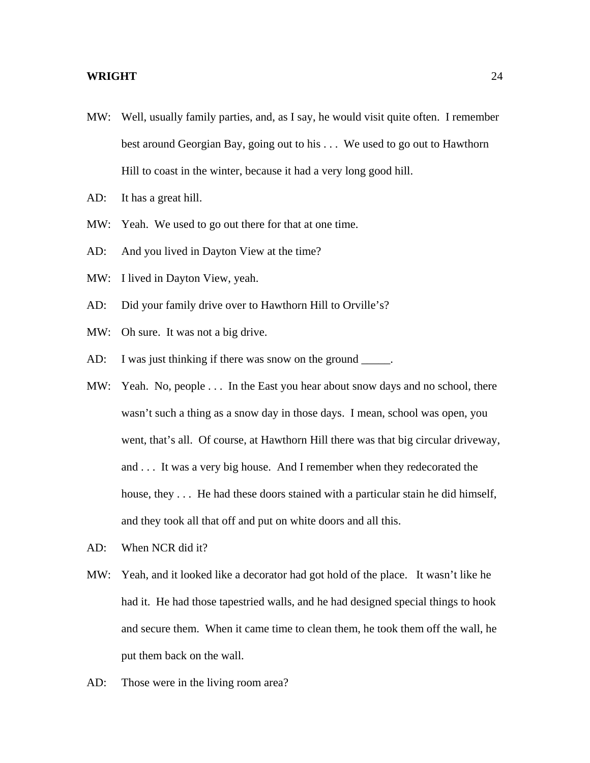- MW: Well, usually family parties, and, as I say, he would visit quite often. I remember best around Georgian Bay, going out to his . . . We used to go out to Hawthorn Hill to coast in the winter, because it had a very long good hill.
- AD: It has a great hill.
- MW: Yeah. We used to go out there for that at one time.
- AD: And you lived in Dayton View at the time?
- MW: I lived in Dayton View, yeah.
- AD: Did your family drive over to Hawthorn Hill to Orville's?
- MW: Oh sure. It was not a big drive.
- AD: I was just thinking if there was snow on the ground \_\_\_\_\_.
- MW: Yeah. No, people ... In the East you hear about snow days and no school, there wasn't such a thing as a snow day in those days. I mean, school was open, you went, that's all. Of course, at Hawthorn Hill there was that big circular driveway, and . . . It was a very big house. And I remember when they redecorated the house, they . . . He had these doors stained with a particular stain he did himself, and they took all that off and put on white doors and all this.
- AD: When NCR did it?
- MW: Yeah, and it looked like a decorator had got hold of the place. It wasn't like he had it. He had those tapestried walls, and he had designed special things to hook and secure them. When it came time to clean them, he took them off the wall, he put them back on the wall.
- AD: Those were in the living room area?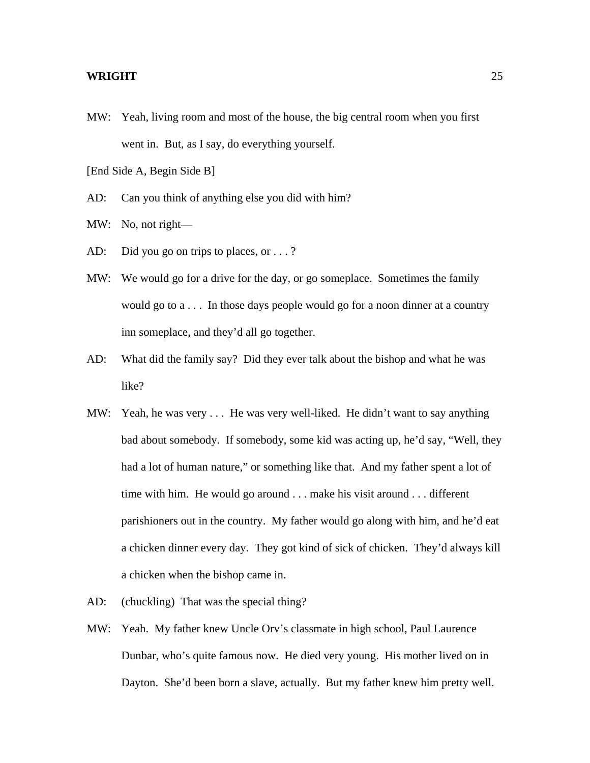MW: Yeah, living room and most of the house, the big central room when you first went in. But, as I say, do everything yourself.

[End Side A, Begin Side B]

AD: Can you think of anything else you did with him?

MW: No, not right—

- AD: Did you go on trips to places, or . . .?
- MW: We would go for a drive for the day, or go someplace. Sometimes the family would go to a . . . In those days people would go for a noon dinner at a country inn someplace, and they'd all go together.
- AD: What did the family say? Did they ever talk about the bishop and what he was like?
- MW: Yeah, he was very ... He was very well-liked. He didn't want to say anything bad about somebody. If somebody, some kid was acting up, he'd say, "Well, they had a lot of human nature," or something like that. And my father spent a lot of time with him. He would go around . . . make his visit around . . . different parishioners out in the country. My father would go along with him, and he'd eat a chicken dinner every day. They got kind of sick of chicken. They'd always kill a chicken when the bishop came in.
- AD: (chuckling) That was the special thing?
- MW: Yeah. My father knew Uncle Orv's classmate in high school, Paul Laurence Dunbar, who's quite famous now. He died very young. His mother lived on in Dayton. She'd been born a slave, actually. But my father knew him pretty well.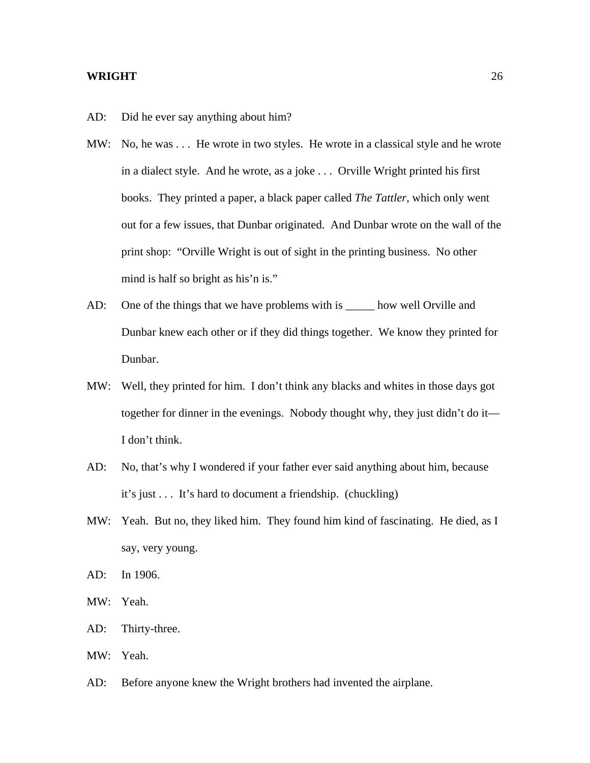- AD: Did he ever say anything about him?
- MW: No, he was ... He wrote in two styles. He wrote in a classical style and he wrote in a dialect style. And he wrote, as a joke . . . Orville Wright printed his first books. They printed a paper, a black paper called *The Tattler*, which only went out for a few issues, that Dunbar originated. And Dunbar wrote on the wall of the print shop: "Orville Wright is out of sight in the printing business. No other mind is half so bright as his'n is."
- AD: One of the things that we have problems with is \_\_\_\_\_\_ how well Orville and Dunbar knew each other or if they did things together. We know they printed for Dunbar.
- MW: Well, they printed for him. I don't think any blacks and whites in those days got together for dinner in the evenings. Nobody thought why, they just didn't do it— I don't think.
- AD: No, that's why I wondered if your father ever said anything about him, because it's just . . . It's hard to document a friendship. (chuckling)
- MW: Yeah. But no, they liked him. They found him kind of fascinating. He died, as I say, very young.
- AD: In 1906.
- MW: Yeah.
- AD: Thirty-three.
- MW: Yeah.
- AD: Before anyone knew the Wright brothers had invented the airplane.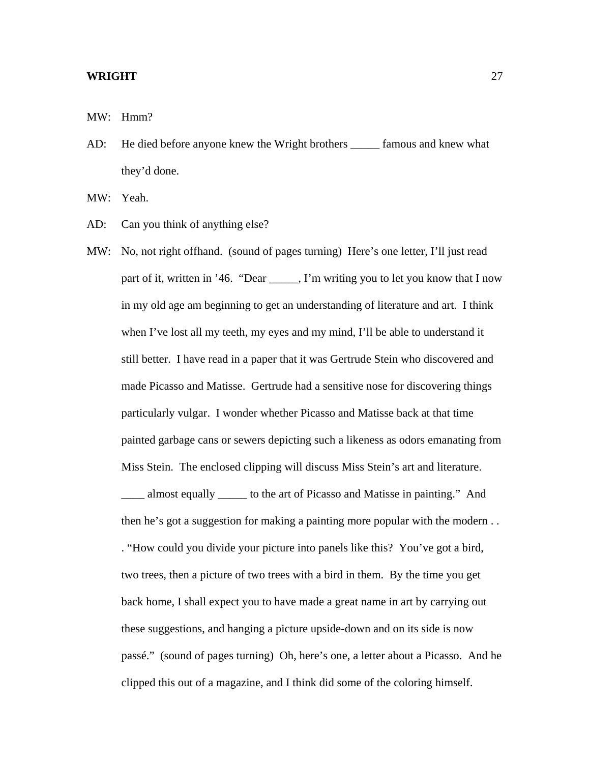MW: Hmm?

AD: He died before anyone knew the Wright brothers famous and knew what they'd done.

MW: Yeah.

- AD: Can you think of anything else?
- MW: No, not right offhand. (sound of pages turning) Here's one letter, I'll just read part of it, written in '46. "Dear \_\_\_\_\_, I'm writing you to let you know that I now in my old age am beginning to get an understanding of literature and art. I think when I've lost all my teeth, my eyes and my mind, I'll be able to understand it still better. I have read in a paper that it was Gertrude Stein who discovered and made Picasso and Matisse. Gertrude had a sensitive nose for discovering things particularly vulgar. I wonder whether Picasso and Matisse back at that time painted garbage cans or sewers depicting such a likeness as odors emanating from Miss Stein. The enclosed clipping will discuss Miss Stein's art and literature. \_\_\_\_ almost equally \_\_\_\_\_ to the art of Picasso and Matisse in painting." And then he's got a suggestion for making a painting more popular with the modern . . . "How could you divide your picture into panels like this? You've got a bird, two trees, then a picture of two trees with a bird in them. By the time you get back home, I shall expect you to have made a great name in art by carrying out these suggestions, and hanging a picture upside-down and on its side is now passé." (sound of pages turning) Oh, here's one, a letter about a Picasso. And he clipped this out of a magazine, and I think did some of the coloring himself.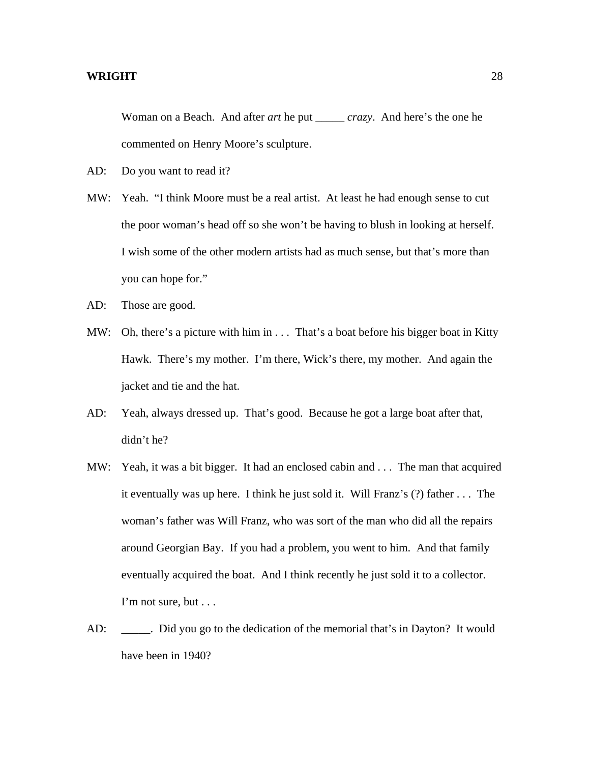Woman on a Beach. And after *art* he put \_\_\_\_\_ *crazy*. And here's the one he commented on Henry Moore's sculpture.

- AD: Do you want to read it?
- MW: Yeah. "I think Moore must be a real artist. At least he had enough sense to cut the poor woman's head off so she won't be having to blush in looking at herself. I wish some of the other modern artists had as much sense, but that's more than you can hope for."
- AD: Those are good.
- MW: Oh, there's a picture with him in . . . That's a boat before his bigger boat in Kitty Hawk. There's my mother. I'm there, Wick's there, my mother. And again the jacket and tie and the hat.
- AD: Yeah, always dressed up. That's good. Because he got a large boat after that, didn't he?
- MW: Yeah, it was a bit bigger. It had an enclosed cabin and . . . The man that acquired it eventually was up here. I think he just sold it. Will Franz's (?) father . . . The woman's father was Will Franz, who was sort of the man who did all the repairs around Georgian Bay. If you had a problem, you went to him. And that family eventually acquired the boat. And I think recently he just sold it to a collector. I'm not sure, but . . .
- AD: \_\_\_\_\_. Did you go to the dedication of the memorial that's in Dayton? It would have been in 1940?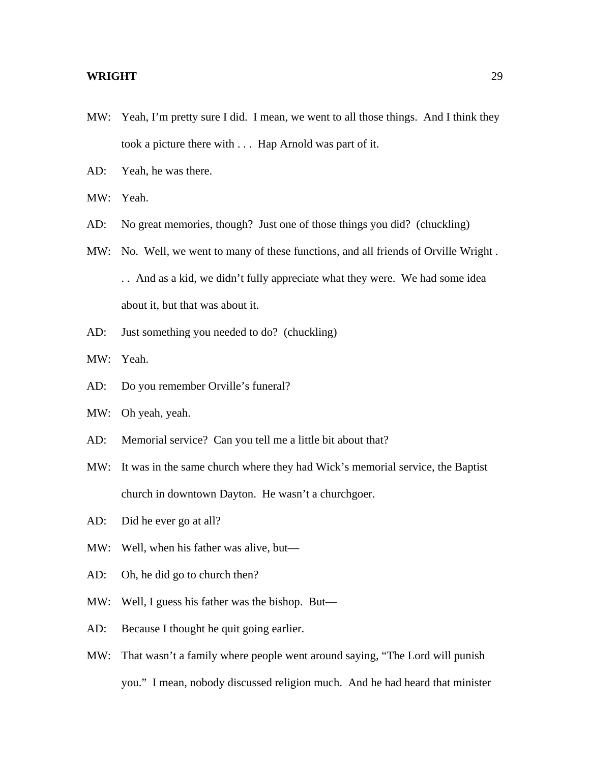- MW: Yeah, I'm pretty sure I did. I mean, we went to all those things. And I think they took a picture there with . . . Hap Arnold was part of it.
- AD: Yeah, he was there.

MW: Yeah.

- AD: No great memories, though? Just one of those things you did? (chuckling)
- MW: No. Well, we went to many of these functions, and all friends of Orville Wright . . . And as a kid, we didn't fully appreciate what they were. We had some idea about it, but that was about it.
- AD: Just something you needed to do? (chuckling)

MW: Yeah.

- AD: Do you remember Orville's funeral?
- MW: Oh yeah, yeah.
- AD: Memorial service? Can you tell me a little bit about that?
- MW: It was in the same church where they had Wick's memorial service, the Baptist church in downtown Dayton. He wasn't a churchgoer.
- AD: Did he ever go at all?
- MW: Well, when his father was alive, but—
- AD: Oh, he did go to church then?
- MW: Well, I guess his father was the bishop. But—
- AD: Because I thought he quit going earlier.
- MW: That wasn't a family where people went around saying, "The Lord will punish you." I mean, nobody discussed religion much. And he had heard that minister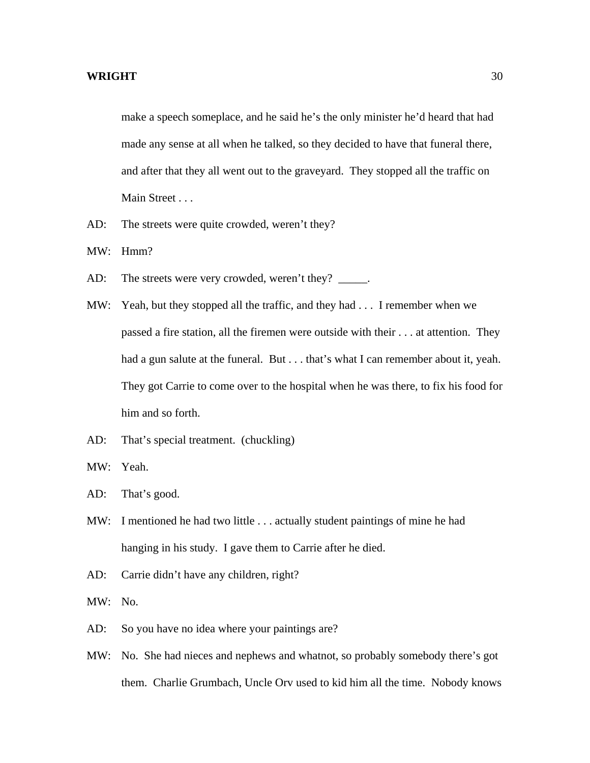make a speech someplace, and he said he's the only minister he'd heard that had made any sense at all when he talked, so they decided to have that funeral there, and after that they all went out to the graveyard. They stopped all the traffic on Main Street . . .

- AD: The streets were quite crowded, weren't they?
- MW: Hmm?
- AD: The streets were very crowded, weren't they? \_\_\_\_\_.
- MW: Yeah, but they stopped all the traffic, and they had . . . I remember when we passed a fire station, all the firemen were outside with their . . . at attention. They had a gun salute at the funeral. But . . . that's what I can remember about it, yeah. They got Carrie to come over to the hospital when he was there, to fix his food for him and so forth.
- AD: That's special treatment. (chuckling)
- MW: Yeah.
- AD: That's good.
- MW: I mentioned he had two little . . . actually student paintings of mine he had hanging in his study. I gave them to Carrie after he died.
- AD: Carrie didn't have any children, right?
- MW: No.
- AD: So you have no idea where your paintings are?
- MW: No. She had nieces and nephews and whatnot, so probably somebody there's got them. Charlie Grumbach, Uncle Orv used to kid him all the time. Nobody knows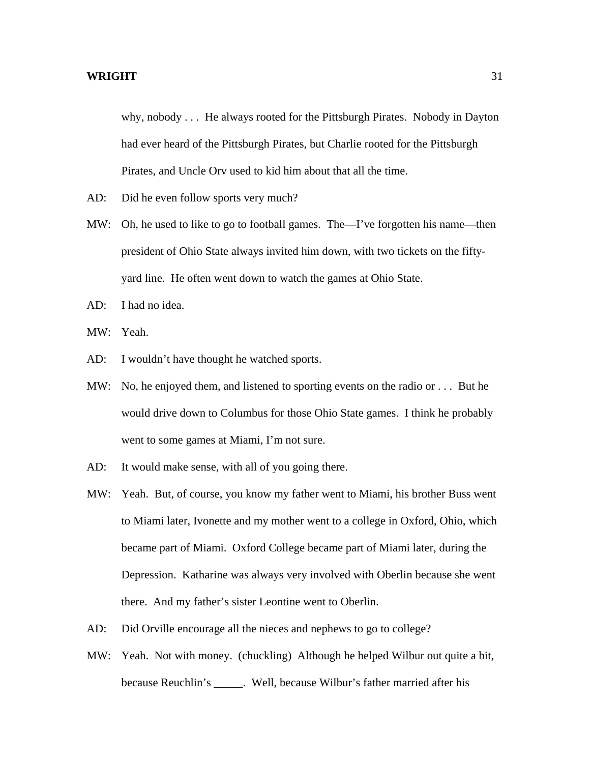why, nobody . . . He always rooted for the Pittsburgh Pirates. Nobody in Dayton had ever heard of the Pittsburgh Pirates, but Charlie rooted for the Pittsburgh Pirates, and Uncle Orv used to kid him about that all the time.

- AD: Did he even follow sports very much?
- MW: Oh, he used to like to go to football games. The—I've forgotten his name—then president of Ohio State always invited him down, with two tickets on the fiftyyard line. He often went down to watch the games at Ohio State.
- AD: I had no idea.
- MW: Yeah.
- AD: I wouldn't have thought he watched sports.
- MW: No, he enjoyed them, and listened to sporting events on the radio or . . . But he would drive down to Columbus for those Ohio State games. I think he probably went to some games at Miami, I'm not sure.
- AD: It would make sense, with all of you going there.
- MW: Yeah. But, of course, you know my father went to Miami, his brother Buss went to Miami later, Ivonette and my mother went to a college in Oxford, Ohio, which became part of Miami. Oxford College became part of Miami later, during the Depression. Katharine was always very involved with Oberlin because she went there. And my father's sister Leontine went to Oberlin.
- AD: Did Orville encourage all the nieces and nephews to go to college?
- MW: Yeah. Not with money. (chuckling) Although he helped Wilbur out quite a bit, because Reuchlin's \_\_\_\_\_. Well, because Wilbur's father married after his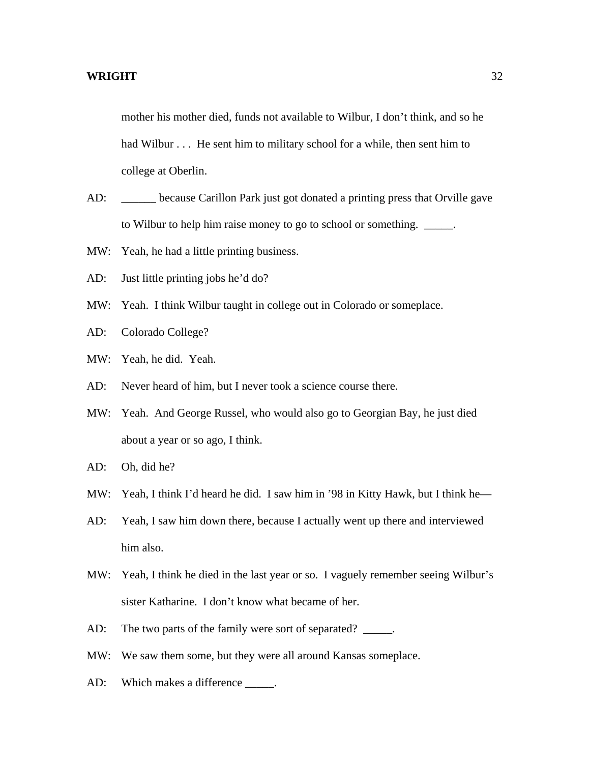mother his mother died, funds not available to Wilbur, I don't think, and so he had Wilbur . . . He sent him to military school for a while, then sent him to college at Oberlin.

- AD: \_\_\_\_\_ because Carillon Park just got donated a printing press that Orville gave to Wilbur to help him raise money to go to school or something. \_\_\_\_\_.
- MW: Yeah, he had a little printing business.
- AD: Just little printing jobs he'd do?
- MW: Yeah. I think Wilbur taught in college out in Colorado or someplace.
- AD: Colorado College?
- MW: Yeah, he did. Yeah.
- AD: Never heard of him, but I never took a science course there.
- MW: Yeah. And George Russel, who would also go to Georgian Bay, he just died about a year or so ago, I think.
- AD: Oh, did he?
- MW: Yeah, I think I'd heard he did. I saw him in '98 in Kitty Hawk, but I think he—
- AD: Yeah, I saw him down there, because I actually went up there and interviewed him also.
- MW: Yeah, I think he died in the last year or so. I vaguely remember seeing Wilbur's sister Katharine. I don't know what became of her.
- AD: The two parts of the family were sort of separated? \_\_\_\_\_.
- MW: We saw them some, but they were all around Kansas someplace.
- AD: Which makes a difference \_\_\_\_\_.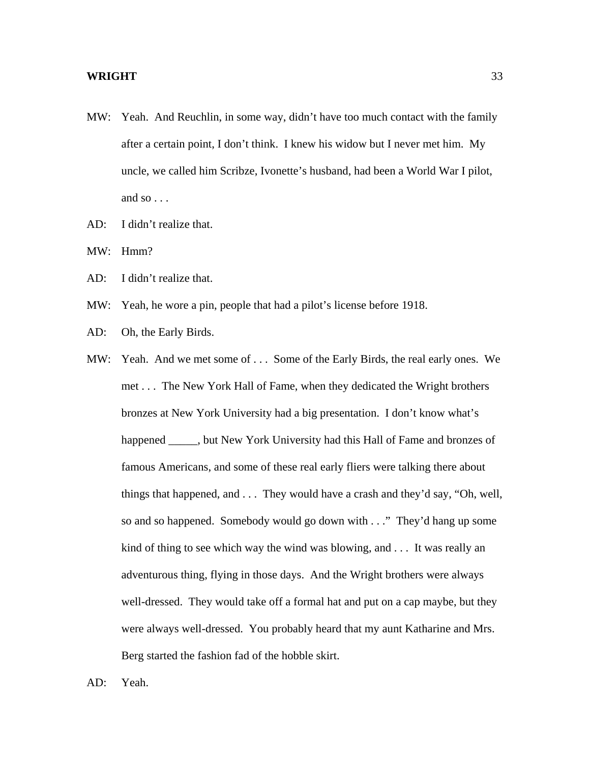- MW: Yeah. And Reuchlin, in some way, didn't have too much contact with the family after a certain point, I don't think. I knew his widow but I never met him. My uncle, we called him Scribze, Ivonette's husband, had been a World War I pilot, and so . . .
- AD: I didn't realize that.
- MW: Hmm?
- AD: I didn't realize that.
- MW: Yeah, he wore a pin, people that had a pilot's license before 1918.
- AD: Oh, the Early Birds.
- MW: Yeah. And we met some of . . . Some of the Early Birds, the real early ones. We met . . . The New York Hall of Fame, when they dedicated the Wright brothers bronzes at New York University had a big presentation. I don't know what's happened \_\_\_\_\_, but New York University had this Hall of Fame and bronzes of famous Americans, and some of these real early fliers were talking there about things that happened, and . . . They would have a crash and they'd say, "Oh, well, so and so happened. Somebody would go down with . . ." They'd hang up some kind of thing to see which way the wind was blowing, and . . . It was really an adventurous thing, flying in those days. And the Wright brothers were always well-dressed. They would take off a formal hat and put on a cap maybe, but they were always well-dressed. You probably heard that my aunt Katharine and Mrs. Berg started the fashion fad of the hobble skirt.
- AD: Yeah.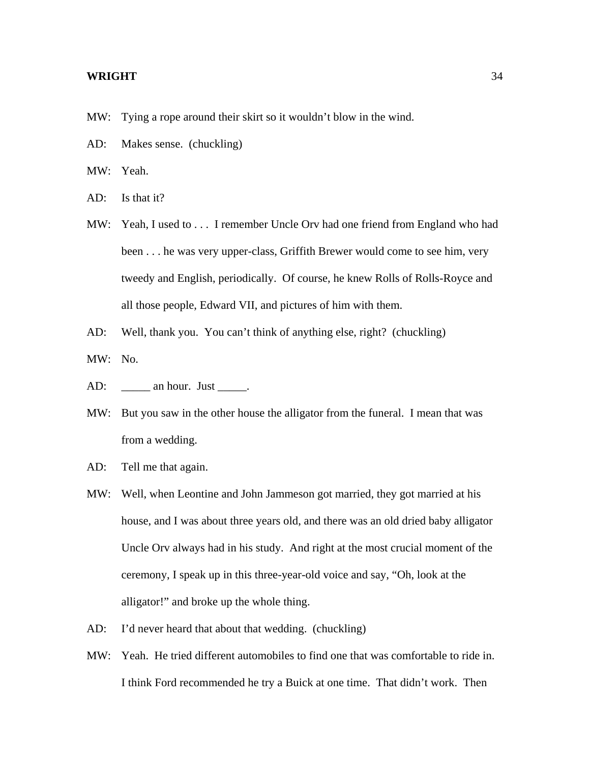- MW: Tying a rope around their skirt so it wouldn't blow in the wind.
- AD: Makes sense. (chuckling)
- MW: Yeah.
- AD: Is that it?
- MW: Yeah, I used to . . . I remember Uncle Orv had one friend from England who had been . . . he was very upper-class, Griffith Brewer would come to see him, very tweedy and English, periodically. Of course, he knew Rolls of Rolls-Royce and all those people, Edward VII, and pictures of him with them.
- AD: Well, thank you. You can't think of anything else, right? (chuckling)
- MW: No.
- AD: an hour. Just .
- MW: But you saw in the other house the alligator from the funeral. I mean that was from a wedding.
- AD: Tell me that again.
- MW: Well, when Leontine and John Jammeson got married, they got married at his house, and I was about three years old, and there was an old dried baby alligator Uncle Orv always had in his study. And right at the most crucial moment of the ceremony, I speak up in this three-year-old voice and say, "Oh, look at the alligator!" and broke up the whole thing.
- AD: I'd never heard that about that wedding. (chuckling)
- MW: Yeah. He tried different automobiles to find one that was comfortable to ride in. I think Ford recommended he try a Buick at one time. That didn't work. Then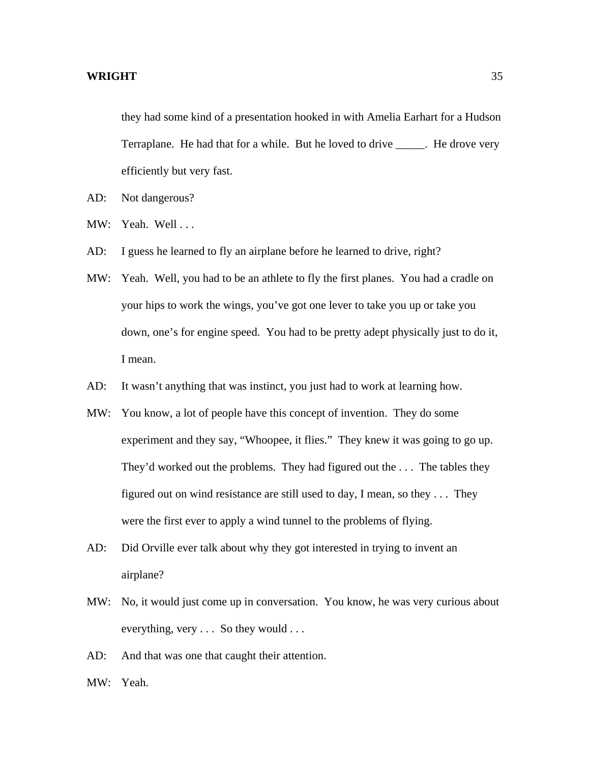they had some kind of a presentation hooked in with Amelia Earhart for a Hudson Terraplane. He had that for a while. But he loved to drive \_\_\_\_\_. He drove very efficiently but very fast.

- AD: Not dangerous?
- MW: Yeah. Well ...
- AD: I guess he learned to fly an airplane before he learned to drive, right?
- MW: Yeah. Well, you had to be an athlete to fly the first planes. You had a cradle on your hips to work the wings, you've got one lever to take you up or take you down, one's for engine speed. You had to be pretty adept physically just to do it, I mean.
- AD: It wasn't anything that was instinct, you just had to work at learning how.
- MW: You know, a lot of people have this concept of invention. They do some experiment and they say, "Whoopee, it flies." They knew it was going to go up. They'd worked out the problems. They had figured out the . . . The tables they figured out on wind resistance are still used to day, I mean, so they . . . They were the first ever to apply a wind tunnel to the problems of flying.
- AD: Did Orville ever talk about why they got interested in trying to invent an airplane?
- MW: No, it would just come up in conversation. You know, he was very curious about everything, very . . . So they would . . .
- AD: And that was one that caught their attention.
- MW: Yeah.